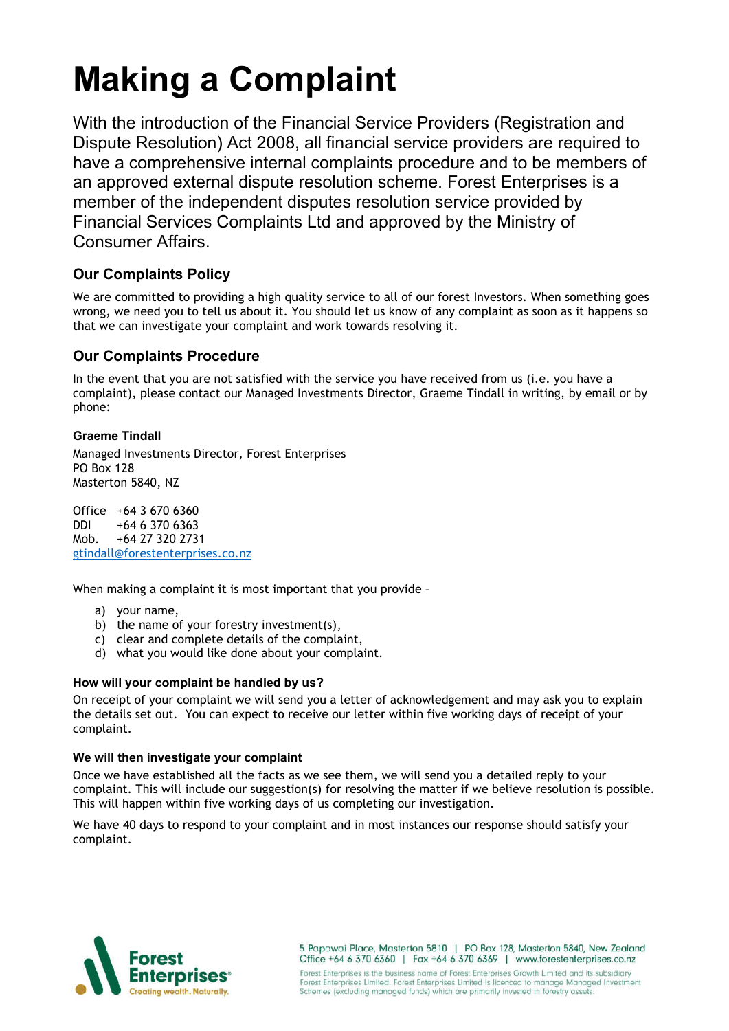# **Making a Complaint**

With the introduction of the Financial Service Providers (Registration and Dispute Resolution) Act 2008, all financial service providers are required to have a comprehensive internal complaints procedure and to be members of an approved external dispute resolution scheme. Forest Enterprises is a member of the independent disputes resolution service provided by Financial Services Complaints Ltd and approved by the Ministry of Consumer Affairs.

# **Our Complaints Policy**

We are committed to providing a high quality service to all of our forest Investors. When something goes wrong, we need you to tell us about it. You should let us know of any complaint as soon as it happens so that we can investigate your complaint and work towards resolving it.

# **Our Complaints Procedure**

In the event that you are not satisfied with the service you have received from us (i.e. you have a complaint), please contact our Managed Investments Director, Graeme Tindall in writing, by email or by phone:

# **Graeme Tindall**

Managed Investments Director, Forest Enterprises PO Box 128 Masterton 5840, NZ

Office +64 3 670 6360 DDI +64 6 370 6363 Mob. +64 27 320 2731 gtindall@forestenterprises.co.nz

When making a complaint it is most important that you provide -

- a) your name,
- b) the name of your forestry investment(s),
- c) clear and complete details of the complaint,
- d) what you would like done about your complaint.

## **How will your complaint be handled by us?**

On receipt of your complaint we will send you a letter of acknowledgement and may ask you to explain the details set out. You can expect to receive our letter within five working days of receipt of your complaint.

## **We will then investigate your complaint**

Once we have established all the facts as we see them, we will send you a detailed reply to your complaint. This will include our suggestion(s) for resolving the matter if we believe resolution is possible. This will happen within five working days of us completing our investigation.

We have 40 days to respond to your complaint and in most instances our response should satisfy your complaint.



5 Papawai Place, Masterton 5810 | PO Box 128, Masterton 5840, New Zealand Office +64 6 370 6360 | Fax +64 6 370 6369 | www.forestenterprises.co.nz Forest Enterprises is the business name of Forest Enterprises Growth Limited and its subsidiary Forest Enterprises Limited. Forest Enterprises Limited is licenced to manage Managed Investment<br>Schemes (excluding managed funds) which are primarily invested in forestry assets.